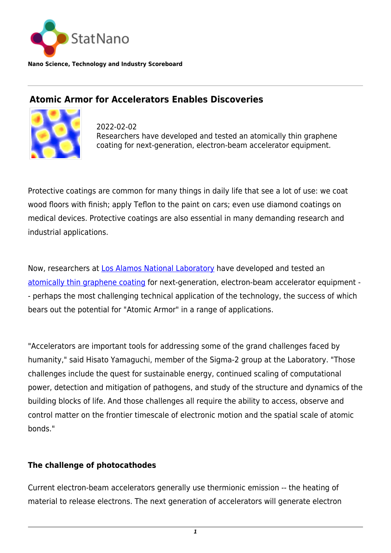

**Nano Science, Technology and Industry Scoreboard**

## **Atomic Armor for Accelerators Enables Discoveries**



2022-02-02 Researchers have developed and tested an atomically thin graphene coating for next-generation, electron-beam accelerator equipment.

Protective coatings are common for many things in daily life that see a lot of use: we coat wood floors with finish; apply Teflon to the paint on cars; even use diamond coatings on medical devices. Protective coatings are also essential in many demanding research and industrial applications.

Now, researchers at [Los Alamos National Laboratory](https://statnano.com/org/Los-Alamos-National-Laboratory) have developed and tested an [atomically thin graphene coating](https://pubs.acs.org/doi/10.1021/acsami.1c19393) for next-generation, electron-beam accelerator equipment - - perhaps the most challenging technical application of the technology, the success of which bears out the potential for "Atomic Armor" in a range of applications.

"Accelerators are important tools for addressing some of the grand challenges faced by humanity," said Hisato Yamaguchi, member of the Sigma-2 group at the Laboratory. "Those challenges include the quest for sustainable energy, continued scaling of computational power, detection and mitigation of pathogens, and study of the structure and dynamics of the building blocks of life. And those challenges all require the ability to access, observe and control matter on the frontier timescale of electronic motion and the spatial scale of atomic bonds."

## **The challenge of photocathodes**

Current electron-beam accelerators generally use thermionic emission -- the heating of material to release electrons. The next generation of accelerators will generate electron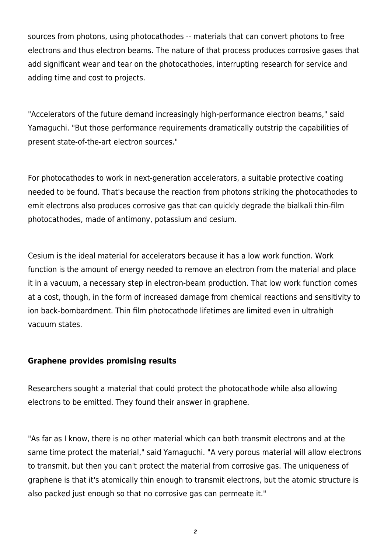sources from photons, using photocathodes -- materials that can convert photons to free electrons and thus electron beams. The nature of that process produces corrosive gases that add significant wear and tear on the photocathodes, interrupting research for service and adding time and cost to projects.

"Accelerators of the future demand increasingly high-performance electron beams," said Yamaguchi. "But those performance requirements dramatically outstrip the capabilities of present state-of-the-art electron sources."

For photocathodes to work in next-generation accelerators, a suitable protective coating needed to be found. That's because the reaction from photons striking the photocathodes to emit electrons also produces corrosive gas that can quickly degrade the bialkali thin-film photocathodes, made of antimony, potassium and cesium.

Cesium is the ideal material for accelerators because it has a low work function. Work function is the amount of energy needed to remove an electron from the material and place it in a vacuum, a necessary step in electron-beam production. That low work function comes at a cost, though, in the form of increased damage from chemical reactions and sensitivity to ion back-bombardment. Thin film photocathode lifetimes are limited even in ultrahigh vacuum states.

## **Graphene provides promising results**

Researchers sought a material that could protect the photocathode while also allowing electrons to be emitted. They found their answer in graphene.

"As far as I know, there is no other material which can both transmit electrons and at the same time protect the material," said Yamaguchi. "A very porous material will allow electrons to transmit, but then you can't protect the material from corrosive gas. The uniqueness of graphene is that it's atomically thin enough to transmit electrons, but the atomic structure is also packed just enough so that no corrosive gas can permeate it."